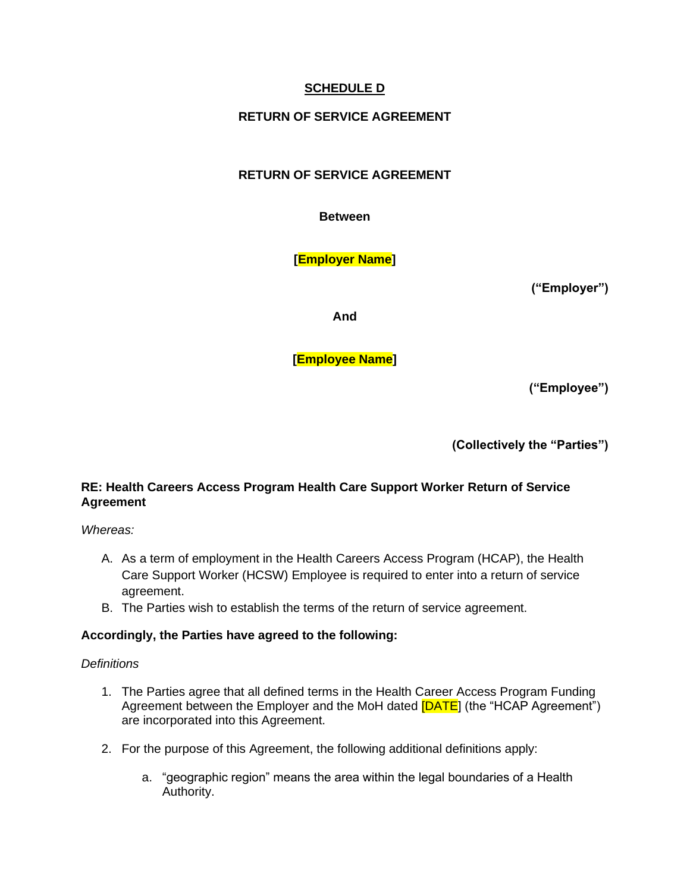# **SCHEDULE D**

# **RETURN OF SERVICE AGREEMENT**

# **RETURN OF SERVICE AGREEMENT**

**Between**

**[Employer Name]**

**("Employer")**

**And**

**[Employee Name]**

**("Employee")**

**(Collectively the "Parties")**

## **RE: Health Careers Access Program Health Care Support Worker Return of Service Agreement**

*Whereas:*

- A. As a term of employment in the Health Careers Access Program (HCAP), the Health Care Support Worker (HCSW) Employee is required to enter into a return of service agreement.
- B. The Parties wish to establish the terms of the return of service agreement.

### **Accordingly, the Parties have agreed to the following:**

### *Definitions*

- 1. The Parties agree that all defined terms in the Health Career Access Program Funding Agreement between the Employer and the MoH dated [DATE] (the "HCAP Agreement") are incorporated into this Agreement.
- 2. For the purpose of this Agreement, the following additional definitions apply:
	- a. "geographic region" means the area within the legal boundaries of a Health Authority.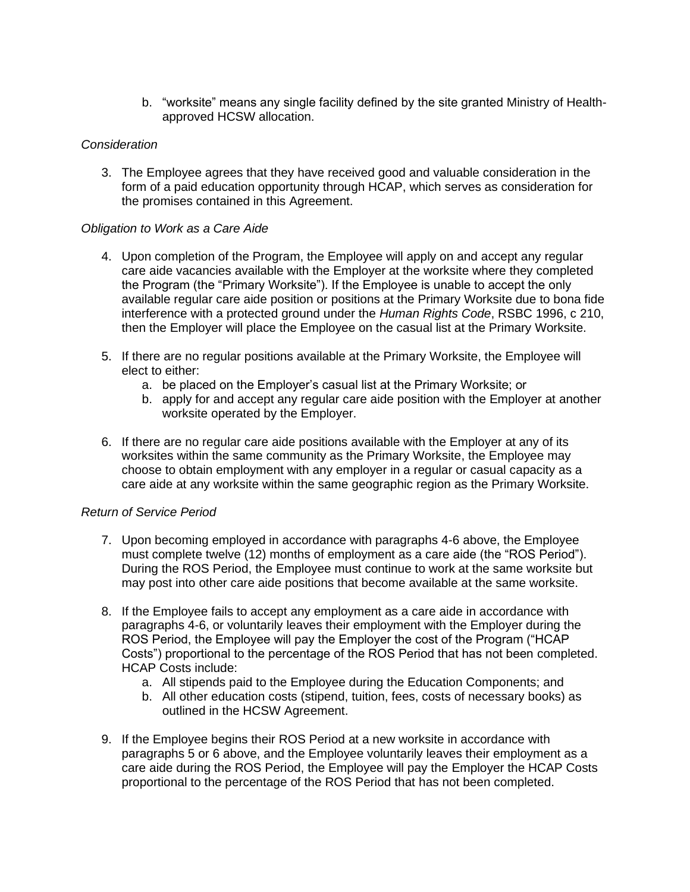b. "worksite" means any single facility defined by the site granted Ministry of Healthapproved HCSW allocation.

### *Consideration*

3. The Employee agrees that they have received good and valuable consideration in the form of a paid education opportunity through HCAP, which serves as consideration for the promises contained in this Agreement.

#### *Obligation to Work as a Care Aide*

- 4. Upon completion of the Program, the Employee will apply on and accept any regular care aide vacancies available with the Employer at the worksite where they completed the Program (the "Primary Worksite"). If the Employee is unable to accept the only available regular care aide position or positions at the Primary Worksite due to bona fide interference with a protected ground under the *Human Rights Code*, RSBC 1996, c 210, then the Employer will place the Employee on the casual list at the Primary Worksite.
- 5. If there are no regular positions available at the Primary Worksite, the Employee will elect to either:
	- a. be placed on the Employer's casual list at the Primary Worksite; or
	- b. apply for and accept any regular care aide position with the Employer at another worksite operated by the Employer.
- 6. If there are no regular care aide positions available with the Employer at any of its worksites within the same community as the Primary Worksite, the Employee may choose to obtain employment with any employer in a regular or casual capacity as a care aide at any worksite within the same geographic region as the Primary Worksite.

#### *Return of Service Period*

- 7. Upon becoming employed in accordance with paragraphs 4-6 above, the Employee must complete twelve (12) months of employment as a care aide (the "ROS Period"). During the ROS Period, the Employee must continue to work at the same worksite but may post into other care aide positions that become available at the same worksite.
- 8. If the Employee fails to accept any employment as a care aide in accordance with paragraphs 4-6, or voluntarily leaves their employment with the Employer during the ROS Period, the Employee will pay the Employer the cost of the Program ("HCAP Costs") proportional to the percentage of the ROS Period that has not been completed. HCAP Costs include:
	- a. All stipends paid to the Employee during the Education Components; and
	- b. All other education costs (stipend, tuition, fees, costs of necessary books) as outlined in the HCSW Agreement.
- 9. If the Employee begins their ROS Period at a new worksite in accordance with paragraphs 5 or 6 above, and the Employee voluntarily leaves their employment as a care aide during the ROS Period, the Employee will pay the Employer the HCAP Costs proportional to the percentage of the ROS Period that has not been completed.